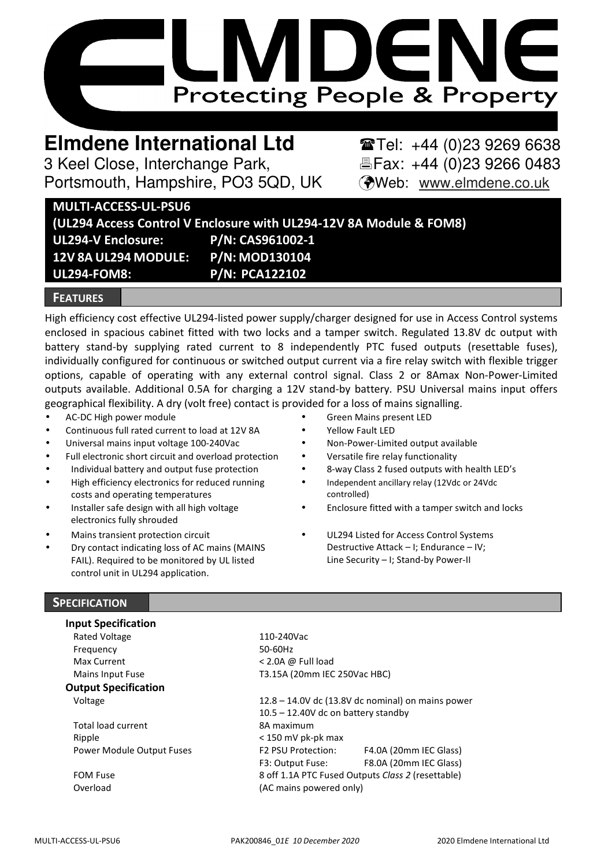

# **Elmdene International Ltd** Tel: +44 (0)23 9269 6638

3 Keel Close, Interchange Park, Fax: +44 (0)23 9266 0483 Portsmouth, Hampshire, PO3 5QD, UK (Web: www.elmdene.co.uk

# **MULTI-ACCESS-UL-PSU6**

**(UL294 Access Control V Enclosure with UL294-12V 8A Module & FOM8) UL294-V Enclosure: P/N: CAS961002-1 12V 8A UL294 MODULE: P/N: MOD130104 UL294-FOM8: P/N: PCA122102**

# **FEATURES**

High efficiency cost effective UL294-listed power supply/charger designed for use in Access Control systems enclosed in spacious cabinet fitted with two locks and a tamper switch. Regulated 13.8V dc output with battery stand-by supplying rated current to 8 independently PTC fused outputs (resettable fuses), individually configured for continuous or switched output current via a fire relay switch with flexible trigger options, capable of operating with any external control signal. Class 2 or 8Amax Non-Power-Limited outputs available. Additional 0.5A for charging a 12V stand-by battery. PSU Universal mains input offers geographical flexibility. A dry (volt free) contact is provided for a loss of mains signalling.

- AC-DC High power module Green Mains present LED
- Continuous full rated current to load at 12V 8A Yellow Fault LED
- Universal mains input voltage 100-240Vac **•** Non-Power-Limited output available
- Full electronic short circuit and overload protection  $\bullet$  Versatile fire relay functionality
- Individual battery and output fuse protection 8-way Class 2 fused outputs with health LED's
- High efficiency electronics for reduced running costs and operating temperatures
- Installer safe design with all high voltage electronics fully shrouded
- 
- Dry contact indicating loss of AC mains (MAINS FAIL). Required to be monitored by UL listed control unit in UL294 application.
- 
- 
- 
- 
- 
- Independent ancillary relay (12Vdc or 24Vdc controlled)
- Enclosure fitted with a tamper switch and locks
- Mains transient protection circuit UL294 Listed for Access Control Systems Destructive Attack – I; Endurance – IV; Line Security – I; Stand-by Power-II

# **SPECIFICATION**

#### **Input Specification**

Rated Voltage 110-240Vac Frequency 50-60Hz Max Current < 2.0A @ Full load

### **Output Specification**

Total load current 8A maximum Ripple < 150 mV pk-pk max Power Module Output Fuses

FOM Fuse

Mains Input Fuse T3.15A (20mm IEC 250Vac HBC) Voltage 12.8 – 14.0V dc (13.8V dc nominal) on mains power

10.5 – 12.40V dc on battery standby F2 PSU Protection: F4.0A (20mm IEC Glass) F3: Output Fuse: F8.0A (20mm IEC Glass) 8 off 1.1A PTC Fused Outputs *Class 2* (resettable) Overload (AC mains powered only)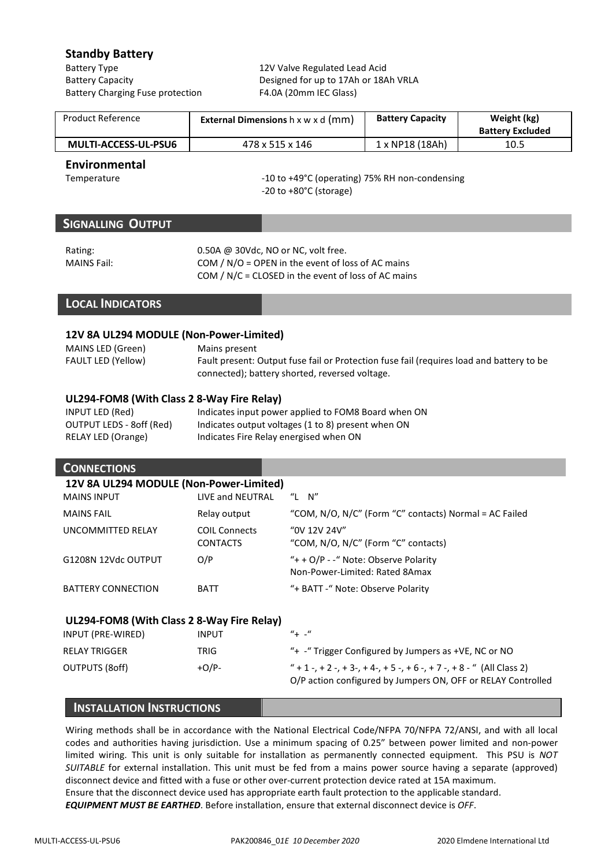# **Standby Battery**

Battery Type 12V Valve Regulated Lead Acid Battery Charging Fuse protection F4.0A (20mm IEC Glass)

Battery Capacity Designed for up to 17Ah or 18Ah VRLA

| Product Reference    | <b>External Dimensions</b> $h \times w \times d$ (mm) | <b>Battery Capacity</b> | Weight (kg)<br><b>Battery Excluded</b> |
|----------------------|-------------------------------------------------------|-------------------------|----------------------------------------|
| MULTI-ACCESS-UL-PSU6 | 478 x 515 x 146                                       | . x NP18 (18Ah)         | 10.5                                   |

# **Environmental**

Temperature  $-10$  to  $+49^{\circ}$ C (operating) 75% RH non-condensing -20 to +80°C (storage)

# **SIGNALLING OUTPUT**

Rating: 0.50A @ 30Vdc, NO or NC, volt free. MAINS Fail: COM / N/O = OPEN in the event of loss of AC mains COM / N/C = CLOSED in the event of loss of AC mains

# **LOCAL INDICATORS**

#### **12V 8A UL294 MODULE (Non-Power-Limited)**

| MAINS LED (Green)         | Mains present                                                                            |
|---------------------------|------------------------------------------------------------------------------------------|
| <b>FAULT LED (Yellow)</b> | Fault present: Output fuse fail or Protection fuse fail (requires load and battery to be |
|                           | connected); battery shorted, reversed voltage.                                           |

#### **UL294-FOM8 (With Class 2 8-Way Fire Relay)**

| INPUT LED (Red)          | Indicates input power applied to FOM8 Board when ON |
|--------------------------|-----------------------------------------------------|
| OUTPUT LEDS - 8off (Red) | Indicates output voltages (1 to 8) present when ON  |
| RELAY LED (Orange)       | Indicates Fire Relay energised when ON              |

### **CONNECTIONS**

| 12V 8A UL294 MODULE (Non-Power-Limited) |                                         |                                                                        |  |
|-----------------------------------------|-----------------------------------------|------------------------------------------------------------------------|--|
| <b>MAINS INPUT</b>                      | LIVE and NEUTRAL                        | "L $N$ "                                                               |  |
| <b>MAINS FAIL</b>                       | Relay output                            | "COM, N/O, N/C" (Form "C" contacts) Normal = AC Failed                 |  |
| <b>UNCOMMITTED RELAY</b>                | <b>COIL Connects</b><br><b>CONTACTS</b> | "OV 12V 24V"<br>"COM, N/O, N/C" (Form "C" contacts)                    |  |
| G1208N 12Vdc OUTPUT                     | O/P                                     | "+ + O/P - -" Note: Observe Polarity<br>Non-Power-Limited: Rated 8Amax |  |
| BATTERY CONNECTION                      | <b>BATT</b>                             | "+ BATT -" Note: Observe Polarity                                      |  |

# **UL294-FOM8 (With Class 2 8-Way Fire Relay)**

| INPUT (PRE-WIRED)    | INPUT    | $'' + -''$                                                         |
|----------------------|----------|--------------------------------------------------------------------|
| <b>RELAY TRIGGER</b> | TRIG     | " $+$ -" Trigger Configured by Jumpers as $+VE$ , NC or NO         |
| OUTPUTS (8off)       | $+O/P -$ | $'' + 1 - + 2 - + 3 - + 4 - + 5 - + 6 - + 7 - + 8 -$ (All Class 2) |
|                      |          | O/P action configured by Jumpers ON, OFF or RELAY Controlled       |

# **INSTALLATION INSTRUCTIONS**

Wiring methods shall be in accordance with the National Electrical Code/NFPA 70/NFPA 72/ANSI, and with all local codes and authorities having jurisdiction. Use a minimum spacing of 0.25" between power limited and non-power limited wiring. This unit is only suitable for installation as permanently connected equipment. This PSU is *NOT SUITABLE* for external installation. This unit must be fed from a mains power source having a separate (approved) disconnect device and fitted with a fuse or other over-current protection device rated at 15A maximum. Ensure that the disconnect device used has appropriate earth fault protection to the applicable standard. *EQUIPMENT MUST BE EARTHED*. Before installation, ensure that external disconnect device is *OFF*.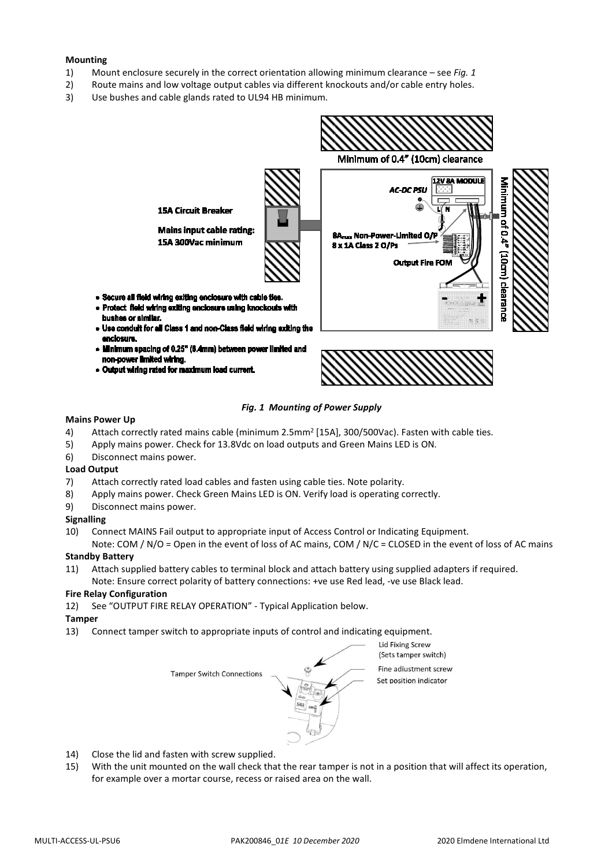#### **Mounting**

- 1) Mount enclosure securely in the correct orientation allowing minimum clearance see *Fig. 1*
- 2) Route mains and low voltage output cables via different knockouts and/or cable entry holes.
- 3) Use bushes and cable glands rated to UL94 HB minimum.



· Output wiring rated for m m kaad current



#### *Fig. 1 Mounting of Power Supply*

#### **Mains Power Up**

busi has or s a conc

**DOCUMOV** er In

enn.

- 4) Attach correctly rated mains cable (minimum 2.5mm<sup>2</sup> [15A], 300/500Vac). Fasten with cable ties.
- 5) Apply mains power. Check for 13.8Vdc on load outputs and Green Mains LED is ON.
- 6) Disconnect mains power.

#### **Load Output**

- 7) Attach correctly rated load cables and fasten using cable ties. Note polarity.
- 8) Apply mains power. Check Green Mains LED is ON. Verify load is operating correctly.
- 9) Disconnect mains power.

#### **Signalling**

10) Connect MAINS Fail output to appropriate input of Access Control or Indicating Equipment.

Note: COM / N/O = Open in the event of loss of AC mains, COM / N/C = CLOSED in the event of loss of AC mains **Standby Battery**

11) Attach supplied battery cables to terminal block and attach battery using supplied adapters if required. Note: Ensure correct polarity of battery connections: +ve use Red lead, -ve use Black lead.

#### **Fire Relay Configuration**

12) See "OUTPUT FIRE RELAY OPERATION" - Typical Application below.

#### **Tamper**

13) Connect tamper switch to appropriate inputs of control and indicating equipment.



- 14) Close the lid and fasten with screw supplied.
- 15) With the unit mounted on the wall check that the rear tamper is not in a position that will affect its operation, for example over a mortar course, recess or raised area on the wall.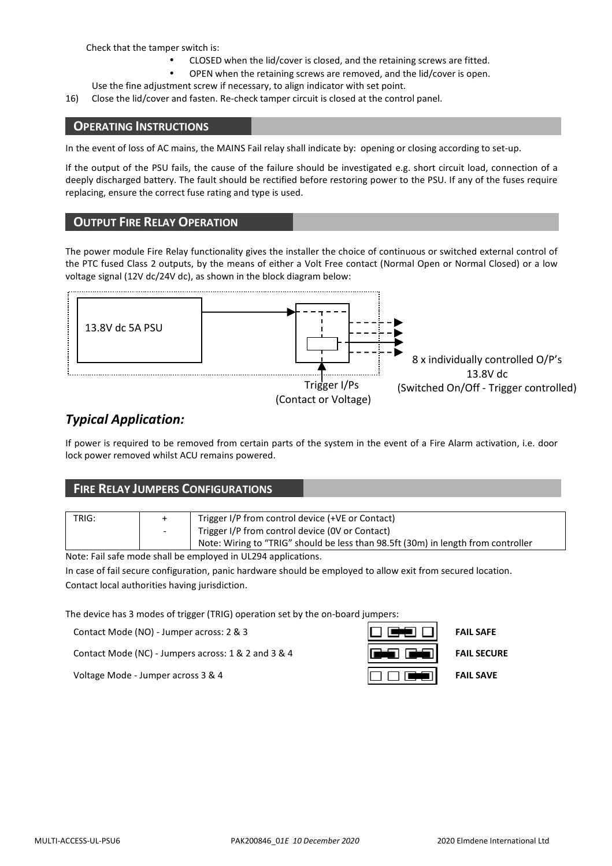Check that the tamper switch is:

- CLOSED when the lid/cover is closed, and the retaining screws are fitted.
- OPEN when the retaining screws are removed, and the lid/cover is open.
- Use the fine adjustment screw if necessary, to align indicator with set point.

16) Close the lid/cover and fasten. Re-check tamper circuit is closed at the control panel.

### **OPERATING INSTRUCTIONS**

In the event of loss of AC mains, the MAINS Fail relay shall indicate by: opening or closing according to set-up.

If the output of the PSU fails, the cause of the failure should be investigated e.g. short circuit load, connection of a deeply discharged battery. The fault should be rectified before restoring power to the PSU. If any of the fuses require replacing, ensure the correct fuse rating and type is used.

# **OUTPUT FIRE RELAY OPERATION**

The power module Fire Relay functionality gives the installer the choice of continuous or switched external control of the PTC fused Class 2 outputs, by the means of either a Volt Free contact (Normal Open or Normal Closed) or a low voltage signal (12V dc/24V dc), as shown in the block diagram below:



# *Typical Application:*

If power is required to be removed from certain parts of the system in the event of a Fire Alarm activation, i.e. door lock power removed whilst ACU remains powered.

|       | <b>FIRE RELAY JUMPERS CONFIGURATIONS</b>                                          |  |  |
|-------|-----------------------------------------------------------------------------------|--|--|
|       |                                                                                   |  |  |
| TRIG: | Trigger I/P from control device (+VE or Contact)                                  |  |  |
|       | Trigger I/P from control device (OV or Contact)                                   |  |  |
|       | Note: Wiring to "TRIG" should be less than 98.5ft (30m) in length from controller |  |  |

Note: Fail safe mode shall be employed in UL294 applications.

In case of fail secure configuration, panic hardware should be employed to allow exit from secured location. Contact local authorities having jurisdiction.

The device has 3 modes of trigger (TRIG) operation set by the on-board jumpers:

Contact Mode (NO) - Jumper across: 2 & 3 **FAIL SAFE FAIL SAFE** 

Contact Mode (NC) - Jumpers across: 1 & 2 and 3 & 4 **FAIL SECURE FAIL SECURE** 

| الأكاري<br>$\overline{\phantom{0}}$           |
|-----------------------------------------------|
| $\sim$<br>24 L<br><b>Property</b><br><b>L</b> |
| فيست                                          |

Voltage Mode - Jumper across 3 & 4 **FAIL SAVE FAIL SAVE**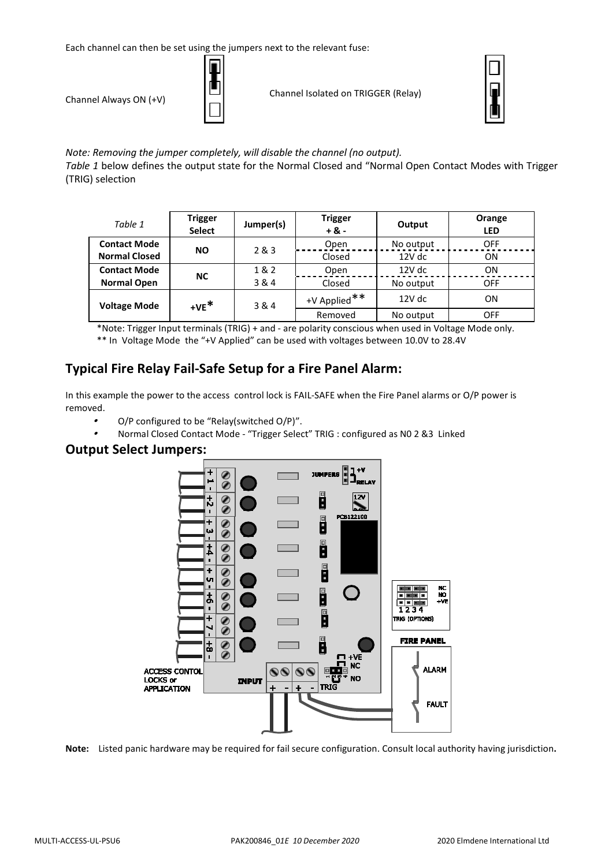Each channel can then be set using the jumpers next to the relevant fuse:



Channel Always ON (+V) Channel Isolated on TRIGGER (Relay)



*Note: Removing the jumper completely, will disable the channel (no output). Table 1* below defines the output state for the Normal Closed and "Normal Open Contact Modes with Trigger (TRIG) selection

| Table 1              | <b>Trigger</b><br><b>Select</b> | Jumper(s) | <b>Trigger</b><br>$+8 -$ | Output    | Orange<br><b>LED</b> |
|----------------------|---------------------------------|-----------|--------------------------|-----------|----------------------|
| <b>Contact Mode</b>  | <b>NO</b>                       | 283       | Open                     | No output | OFF                  |
| <b>Normal Closed</b> |                                 |           | Closed                   | 12V dc    | ON                   |
| <b>Contact Mode</b>  | ΝC                              | 1&2       | Open                     | 12V dc    | ON                   |
| <b>Normal Open</b>   |                                 | 3 & 4     | Closed                   | No output | OFF                  |
| <b>Voltage Mode</b>  | $+VE^*$                         | 3 & 4     | +V Applied**             | 12V dc    | ON                   |
|                      |                                 |           | Removed                  | No output | OFF                  |

\*Note: Trigger Input terminals (TRIG) + and - are polarity conscious when used in Voltage Mode only.

\*\* In Voltage Mode the "+V Applied" can be used with voltages between 10.0V to 28.4V

# **Typical Fire Relay Fail-Safe Setup for a Fire Panel Alarm:**

In this example the power to the access control lock is FAIL-SAFE when the Fire Panel alarms or O/P power is removed.

- •O/P configured to be "Relay(switched O/P)".
- •Normal Closed Contact Mode - "Trigger Select" TRIG : configured as N0 2 &3 Linked

# **Output Select Jumpers:**



**Note:** Listed panic hardware may be required for fail secure configuration. Consult local authority having jurisdiction**.**